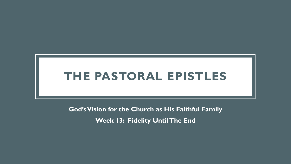# **THE PASTORAL EPISTLES**

**God's Vision for the Church as His Faithful Family Week 13: Fidelity Until The End**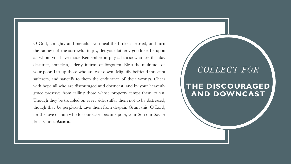O God, almighty and merciful, you heal the broken-hearted, and turn the sadness of the sorrowful to joy, let your fatherly goodness be upon all whom you have made Remember in pity all those who are this day destitute, homeless, elderly, infirm, or forgotten. Bless the multitude of your poor. Lift up those who are cast down. Mightily befriend innocent sufferers, and sanctify to them the endurance of their wrongs. Cheer with hope all who are discouraged and downcast, and by your heavenly grace preserve from falling those whose property tempt them to sin. Though they be troubled on every side, suffer them not to be distressed; though they be perplexed, save them from despair. Grant this, O Lord, for the love of him who for our sakes became poor, your Son our Savior Jesus Christ. **Amen.**

## *COLLECT FOR*

## **THE DISCOURAGED AND DOWNCAST**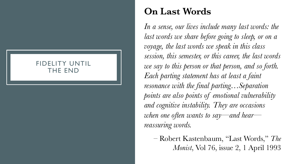### FIDELITY UNTIL THE END

## **On Last Words**

In a sense, our lives include many last words: the *last words we share before going to sleep, or on a voyage, the last words we speak in this class session, this semester, or this career, the last words we say to this person or that person, and so forth. Each parting statement has at least a faint resonance with the final parting…Separation points are also points of emotional vulnerability and cognitive instability. They are occasions when one often wants to say—and hear reassuring words.*

– Robert Kastenbaum, "Last Words," *The Monist*, Vol 76, issue 2, 1 April 1993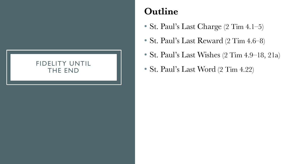### FIDELITY UNTIL THE END

## **Outline**

- St. Paul's Last Charge (2 Tim 4.1–5)
- St. Paul's Last Reward (2 Tim 4.6–8)
- St. Paul's Last Wishes (2 Tim 4.9–18, 21a)
- St. Paul's Last Word (2 Tim 4.22)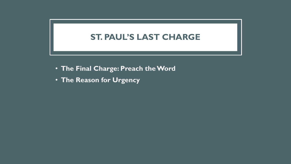## **ST. PAUL'S LAST CHARGE**

- **The Final Charge: Preach the Word**
- **The Reason for Urgency**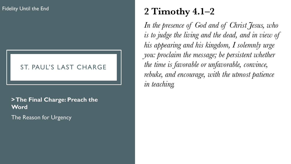### ST. PAUL'S LAST CHARGE

## **> The Final Charge: Preach the Word**

The Reason for Urgency

# **2 Timothy 4.1–2**

*In the presence of God and of Christ Jesus, who is to judge the living and the dead, and in view of his appearing and his kingdom, I solemnly urge you: proclaim the message; be persistent whether the time is favorable or unfavorable, convince, rebuke, and encourage, with the utmost patience in teaching.*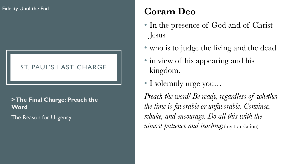## ST. PAUL'S LAST CHARGE

## **> The Final Charge: Preach the Word** The Reason for Urgency

**Coram Deo**

- In the presence of God and of Christ Jesus
- who is to judge the living and the dead
- in view of his appearing and his kingdom,
- I solemnly urge you*…*

*Preach the word! Be ready, regardless of whether the time is favorable or unfavorable. Convince, rebuke, and encourage. Do all this with the utmost patience and teaching.*(my translation)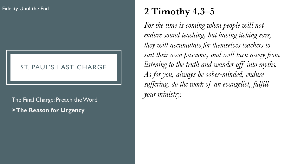### ST. PAUL'S LAST CHARGE

*your ministry.* The Final Charge: Preach the Word **> The Reason for Urgency**

# **2 Timothy 4.3–5**

*For the time is coming when people will not endure sound teaching, but having itching ears, they will accumulate for themselves teachers to suit their own passions, and will turn away from listening to the truth and wander off into myths. As for you, always be sober-minded, endure suffering, do the work of an evangelist, fulfill*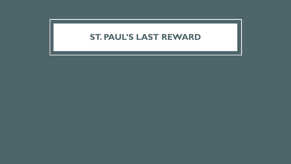## **ST. PAUL'S LAST REWARD**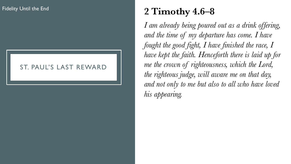### ST. PAUL'S LAST REWARD

# **2 Timothy 4.6–8**

*I am already being poured out as a drink offering, and the time of my departure has come. I have fought the good fight, I have finished the race, I have kept the faith. Henceforth there is laid up for me the crown of righteousness, which the Lord, the righteous judge, will aware me on that day, and not only to me but also to all who have loved his appearing.*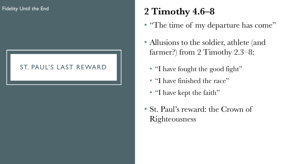## ST. PAUL'S LAST REWARD

# **2 Timothy 4.6–8**

- "The time of my departure has come"
- Allusions to the soldier, athlete (and farmer?) from 2 Timothy 2.3–8:
	- "I have fought the good fight"
	- "I have finished the race"
	- "I have kept the faith"
- St. Paul's reward: the Crown of Righteousness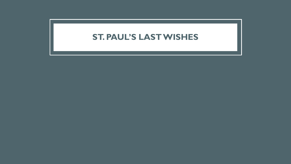## **ST. PAUL'S LAST WISHES**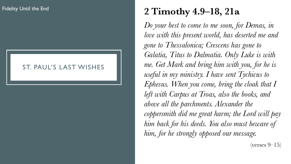### ST. PAUL'S LAST WISHES

# **2 Timothy 4.9–18, 21a**

*Do your best to come to me soon, for Demas, in love with this present world, has deserted me and gone to Thessalonica; Crescens has gone to Galatia, Titus to Dalmatia. Only Luke is with me. Get Mark and bring him with you, for he is useful in my ministry. I have sent Tychicus to Ephesus. When you come, bring the cloak that I left with Carpus at Troas, also the books, and above all the parchments. Alexander the coppersmith did me great harm; the Lord will pay him back for his deeds. You also must beware of him, for he strongly opposed our message.*

 $(verses 9-15)$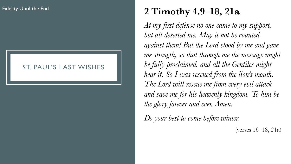### ST. PAUL'S LAST WISHES

# **2 Timothy 4.9–18, 21a**

*At my first defense no one came to my support, but all deserted me. May it not be counted against them! But the Lord stood by me and gave me strength, so that through me the message might be fully proclaimed, and all the Gentiles might hear it. So I was rescued from the lion's mouth. The Lord will rescue me from every evil attack and save me for his heavenly kingdom. To him be the glory forever and ever. Amen.*

*Do your best to come before winter.*

(verses 16–18, 21a)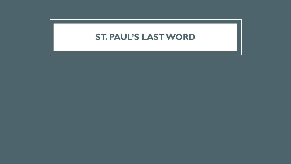## **ST. PAUL'S LAST WORD**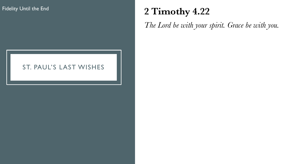# **2 Timothy 4.22**

*The Lord be with your spirit. Grace be with you.*

### ST. PAUL'S LAST WISHES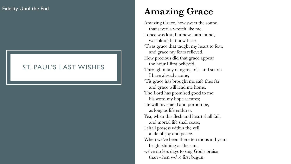### ST. PAUL'S LAST WISHES

# **Amazing Grace**

Amazing Grace, how sweet the sound that saved a wretch like me. I once was lost, but now I am found, was blind, but now I see. 'Twas grace that taught my heart to fear, and grace my fears relieved. How precious did that grace appear the hour I first believed. Through many dangers, toils and snares I have already come, 'Tis grace has brought me safe thus far and grace will lead me home. The Lord has promised good to me; his word my hope secures; He will my shield and portion be, as long as life endures. Yea, when this flesh and heart shall fail, and mortal life shall cease, I shall possess within the veil a life of joy and peace. When we've been there ten thousand years bright shining as the sun, we've no less days to sing God's praise than when we've first begun.